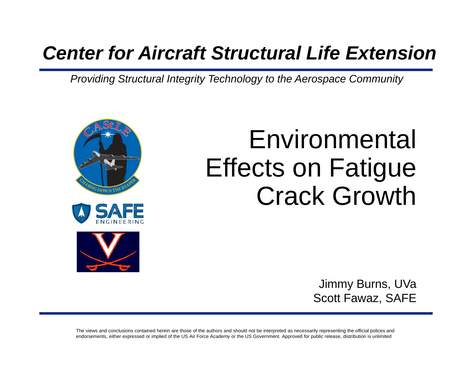#### *Center for Aircraft Structural Life Extension*

*Providing Structural Integrity Technology to the Aerospace Community*



## Environmental Effects on Fatigue Crack Growth

Jimmy Burns, UVa Scott Fawaz, SAFE

The views and conclusions contained herein are those of the authors and should not be interpreted as necessarily representing the official polices and endorsements, either expressed or implied of the US Air Force Academy or the US Government. Approved for public release, distribution is unlimited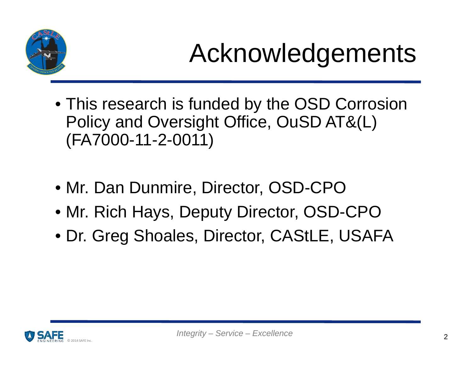

- This research is funded by the OSD Corrosion Policy and Oversight Office, OuSD AT&(L) (FA7000-11-2-0011)
- Mr. Dan Dunmire, Director, OSD-CPO
- Mr. Rich Hays, Deputy Director, OSD-CPO
- Dr. Greg Shoales, Director, CAStLE, USAFA

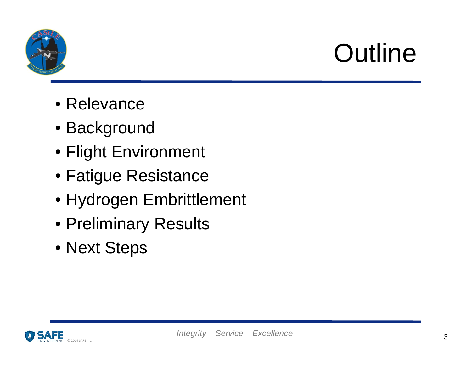

# **Outline**

- Relevance
- Background
- Flight Environment
- Fatigue Resistance
- Hydrogen Embrittlement
- Preliminary Results
- Next Steps

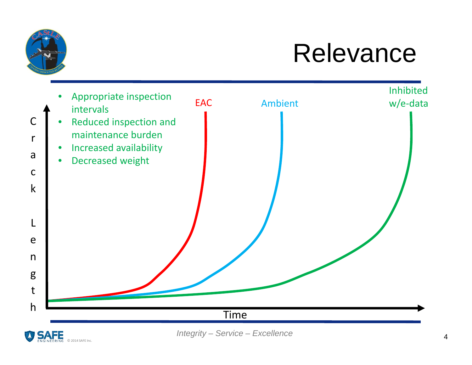

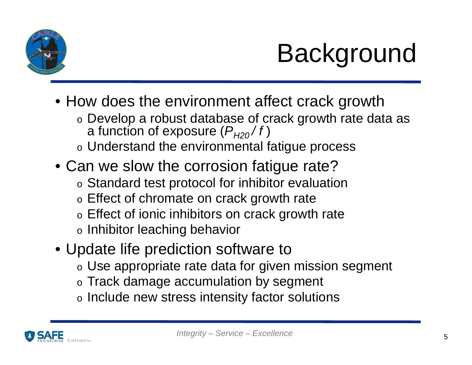

# Background

- How does the environment affect crack growth
	- $\circ$  Develop a robust database of crack growth rate data as a function of exposure  $(P_{H20}/f)$
	- $\circ$  Understand the environmental fatigue process
- Can we slow the corrosion fatigue rate?
	- $\circ$  Standard test protocol for inhibitor evaluation
	- $\circ$  Effect of chromate on crack growth rate
	- $\circ$  Effect of ionic inhibitors on crack growth rate
	- $\circ$  Inhibitor leaching behavior
- Update life prediction software to
	- $\circ$  Use appropriate rate data for given mission segment
	- $\circ$  Track damage accumulation by segment
	- $\circ$  Include new stress intensity factor solutions

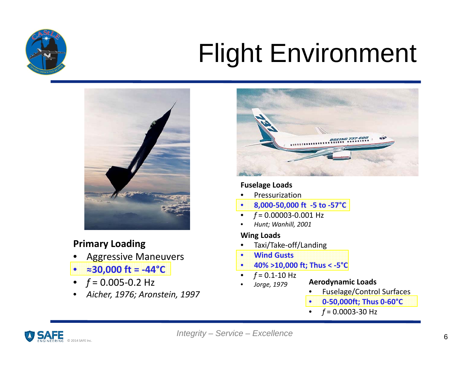

# Flight Environment



#### **Primary Loading**

- •Aggressive Maneuvers
- •**<sup>≈</sup>30,000 ft <sup>=</sup> ‐44°C**
- • $f = 0.005 - 0.2$  Hz
- •*Aicher, 1976; Aronstein, 1997*



#### **Fuselage Loads**

- •Pressurization
- •**8,000‐50,000 ft ‐5 to ‐57°C**
- •*f* <sup>=</sup> 0.00003‐0.001 Hz
- •*Hunt; Wanhill, 2001*

#### **Wing Loads**

- •Taxi/Take‐off/Landing
- •**Wind Gusts**
- • **40% >10,000 ft; Thus <sup>&</sup>lt; ‐5°C**
	- *f* <sup>=</sup> 0.1‐10 Hz
- •*Jorge, 1979*
- •Fuselage/Control Surfaces
- •**0‐50,000ft; Thus 0‐60°C**
- •*f* <sup>=</sup> 0.0003‐30 Hz

**Aerodynamic Loads**



•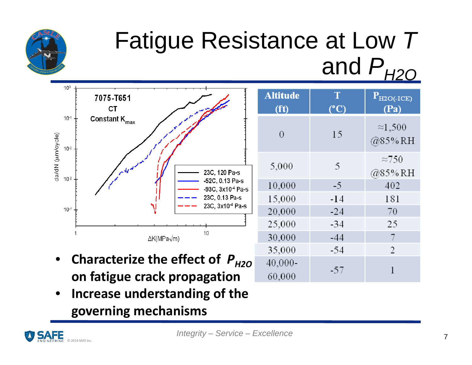

# Fatigue Resistance at Low *T* and  $P_{H2O}$

| $10^0$                      | 7075-T651<br><b>CT</b>                    |                                                 | <b>Altitude</b><br>(f <sup>t</sup> ) | $({}^{\circ}{\rm C})$       | $P_{H2O(\text{-ICE})}$<br>(Pa) |
|-----------------------------|-------------------------------------------|-------------------------------------------------|--------------------------------------|-----------------------------|--------------------------------|
| $10^{-1}$<br>$10^{-2}$ -    | Constant $K_{\text{max}}$<br>23C 120 Pa s | $\theta$                                        | 15                                   | $\approx$ 1,500<br>@85%RH   |                                |
| da/dN (um/cycle)<br>$103$ + |                                           | 5,000                                           | 5                                    | $\approx 750$<br>$@85\%$ RH |                                |
|                             |                                           | 52C, 0.13 Pa s<br>-93C, 3x10 <sup>-4</sup> Pa-s | 10,000                               | $-5$                        | 402                            |
|                             |                                           | 23C 0.13 Pa-s                                   | 15,000                               | $-14$                       | 181                            |
| $10^{-4}$                   |                                           | 23C, 3x10 <sup>4</sup> Pa-s                     | 20,000                               | $-24$                       | 70                             |
|                             |                                           |                                                 | 25,000                               | $-34$                       | 25                             |
|                             | $\Delta K(MPa\sqrt{m})$                   | 10                                              | 30,000                               | -44                         |                                |
|                             |                                           |                                                 | 35,000                               | $-54$                       | $\overline{2}$                 |
|                             | Characterize the effect of $P_{H2O}$      | $40,000 -$                                      | 57                                   |                             |                                |

 $\bullet$  **Increase understanding of the governing mechanisms**

**on fatigue crack propagation**



60,000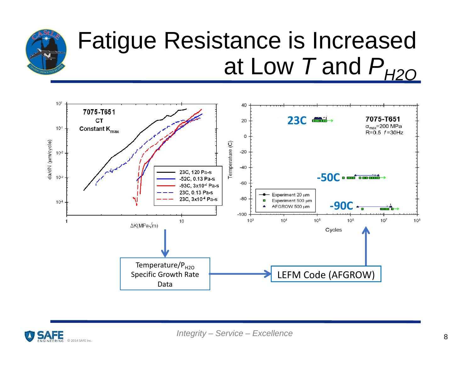

### Fatigue Resistance is Increased at Low *T* and  $P_{H2O}$



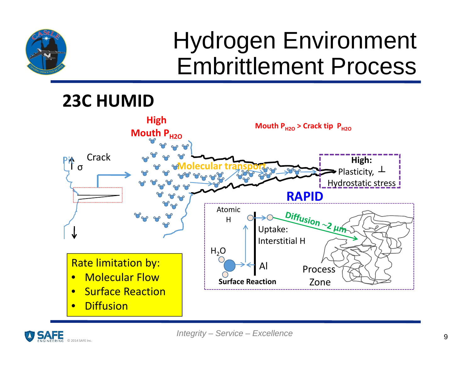

### Hydrogen Environment Embrittlement Process

#### **23C HUMID**



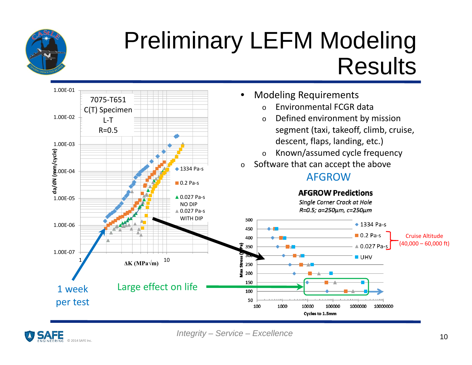

#### Preliminary LEFM Modeling **Results**



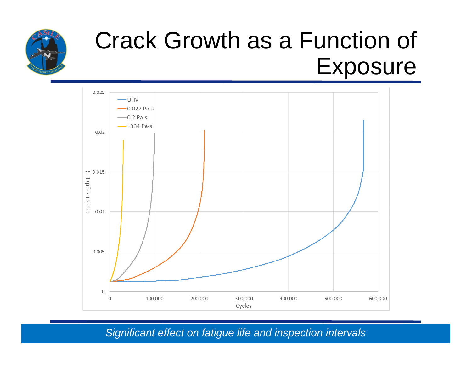

### Crack Growth as a Function of **Exposure**



*Integrity – Service – Excellence* <sup>11</sup>*Significant effect on fatigue life and inspection intervals*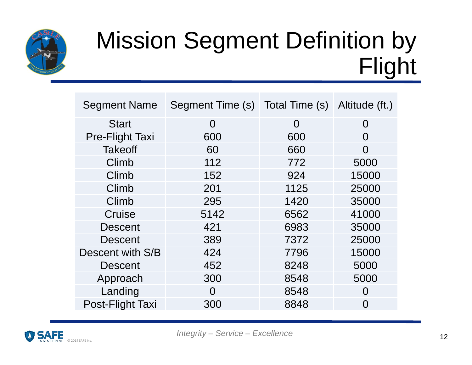

## Mission Segment Definition by Flight

| <b>Segment Name</b>    | Segment Time (s) | Total Time (s) | Altitude (ft.) |
|------------------------|------------------|----------------|----------------|
| <b>Start</b>           | $\Omega$         | $\Omega$       | $\overline{0}$ |
| <b>Pre-Flight Taxi</b> | 600              | 600            | $\Omega$       |
| <b>Takeoff</b>         | 60               | 660            | $\Omega$       |
| Climb                  | 112              | 772            | 5000           |
| Climb                  | 152              | 924            | 15000          |
| Climb                  | 201              | 1125           | 25000          |
| Climb                  | 295              | 1420           | 35000          |
| Cruise                 | 5142             | 6562           | 41000          |
| <b>Descent</b>         | 421              | 6983           | 35000          |
| <b>Descent</b>         | 389              | 7372           | 25000          |
| Descent with S/B       | 424              | 7796           | 15000          |
| <b>Descent</b>         | 452              | 8248           | 5000           |
| Approach               | 300              | 8548           | 5000           |
| Landing                | $\Omega$         | 8548           | $\Omega$       |
| Post-Flight Taxi       | 300              | 8848           | $\Omega$       |

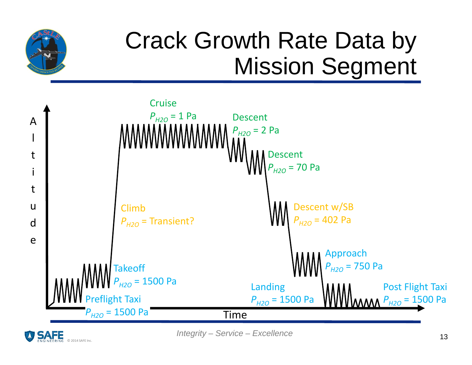

### Crack Growth Rate Data by Mission Segment